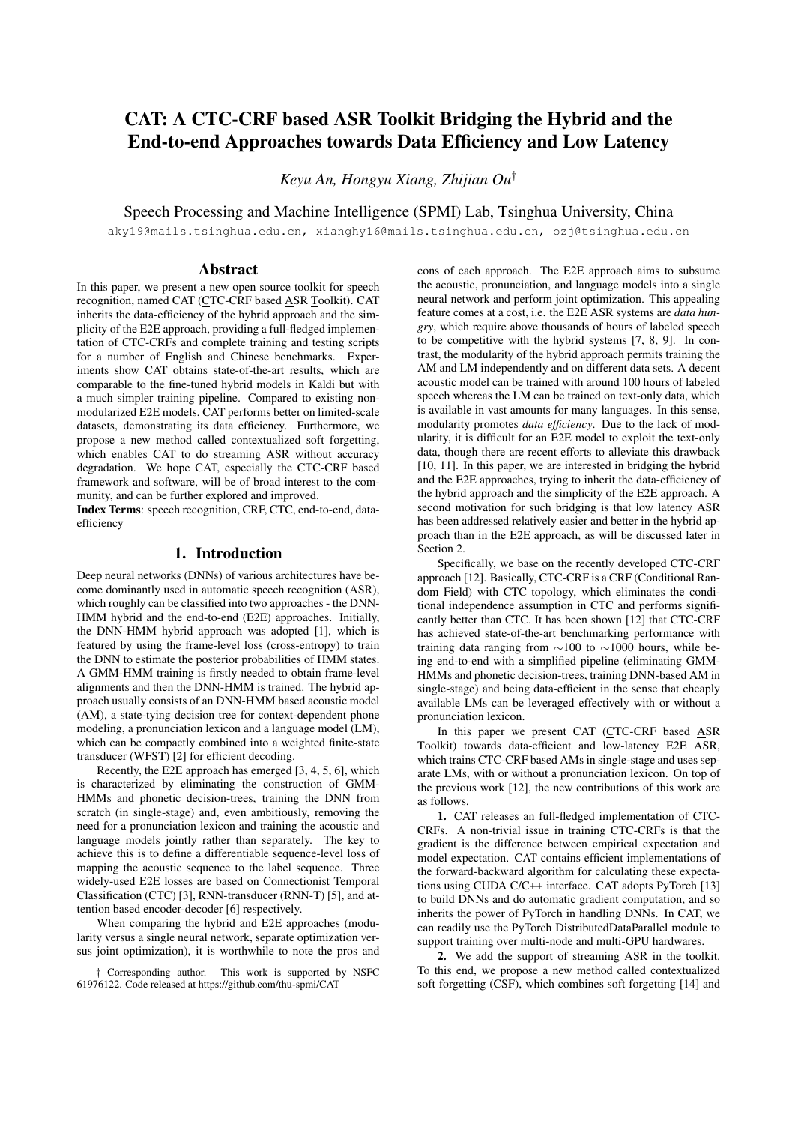# CAT: A CTC-CRF based ASR Toolkit Bridging the Hybrid and the End-to-end Approaches towards Data Efficiency and Low Latency

*Keyu An, Hongyu Xiang, Zhijian Ou*†

Speech Processing and Machine Intelligence (SPMI) Lab, Tsinghua University, China

aky19@mails.tsinghua.edu.cn, xianghy16@mails.tsinghua.edu.cn, ozj@tsinghua.edu.cn

#### Abstract

In this paper, we present a new open source toolkit for speech recognition, named CAT (CTC-CRF based ASR Toolkit). CAT inherits the data-efficiency of the hybrid approach and the simplicity of the E2E approach, providing a full-fledged implementation of CTC-CRFs and complete training and testing scripts for a number of English and Chinese benchmarks. Experiments show CAT obtains state-of-the-art results, which are comparable to the fine-tuned hybrid models in Kaldi but with a much simpler training pipeline. Compared to existing nonmodularized E2E models, CAT performs better on limited-scale datasets, demonstrating its data efficiency. Furthermore, we propose a new method called contextualized soft forgetting, which enables CAT to do streaming ASR without accuracy degradation. We hope CAT, especially the CTC-CRF based framework and software, will be of broad interest to the community, and can be further explored and improved.

Index Terms: speech recognition, CRF, CTC, end-to-end, dataefficiency

## 1. Introduction

Deep neural networks (DNNs) of various architectures have become dominantly used in automatic speech recognition (ASR), which roughly can be classified into two approaches - the DNN-HMM hybrid and the end-to-end (E2E) approaches. Initially, the DNN-HMM hybrid approach was adopted [1], which is featured by using the frame-level loss (cross-entropy) to train the DNN to estimate the posterior probabilities of HMM states. A GMM-HMM training is firstly needed to obtain frame-level alignments and then the DNN-HMM is trained. The hybrid approach usually consists of an DNN-HMM based acoustic model (AM), a state-tying decision tree for context-dependent phone modeling, a pronunciation lexicon and a language model (LM), which can be compactly combined into a weighted finite-state transducer (WFST) [2] for efficient decoding.

Recently, the E2E approach has emerged [3, 4, 5, 6], which is characterized by eliminating the construction of GMM-HMMs and phonetic decision-trees, training the DNN from scratch (in single-stage) and, even ambitiously, removing the need for a pronunciation lexicon and training the acoustic and language models jointly rather than separately. The key to achieve this is to define a differentiable sequence-level loss of mapping the acoustic sequence to the label sequence. Three widely-used E2E losses are based on Connectionist Temporal Classification (CTC) [3], RNN-transducer (RNN-T) [5], and attention based encoder-decoder [6] respectively.

When comparing the hybrid and E2E approaches (modularity versus a single neural network, separate optimization versus joint optimization), it is worthwhile to note the pros and

cons of each approach. The E2E approach aims to subsume the acoustic, pronunciation, and language models into a single neural network and perform joint optimization. This appealing feature comes at a cost, i.e. the E2E ASR systems are *data hungry*, which require above thousands of hours of labeled speech to be competitive with the hybrid systems [7, 8, 9]. In contrast, the modularity of the hybrid approach permits training the AM and LM independently and on different data sets. A decent acoustic model can be trained with around 100 hours of labeled speech whereas the LM can be trained on text-only data, which is available in vast amounts for many languages. In this sense, modularity promotes *data efficiency*. Due to the lack of modularity, it is difficult for an E2E model to exploit the text-only data, though there are recent efforts to alleviate this drawback [10, 11]. In this paper, we are interested in bridging the hybrid and the E2E approaches, trying to inherit the data-efficiency of the hybrid approach and the simplicity of the E2E approach. A second motivation for such bridging is that low latency ASR has been addressed relatively easier and better in the hybrid approach than in the E2E approach, as will be discussed later in Section 2.

Specifically, we base on the recently developed CTC-CRF approach [12]. Basically, CTC-CRF is a CRF (Conditional Random Field) with CTC topology, which eliminates the conditional independence assumption in CTC and performs significantly better than CTC. It has been shown [12] that CTC-CRF has achieved state-of-the-art benchmarking performance with training data ranging from ∼100 to ∼1000 hours, while being end-to-end with a simplified pipeline (eliminating GMM-HMMs and phonetic decision-trees, training DNN-based AM in single-stage) and being data-efficient in the sense that cheaply available LMs can be leveraged effectively with or without a pronunciation lexicon.

In this paper we present CAT (CTC-CRF based ASR Toolkit) towards data-efficient and low-latency E2E ASR, which trains CTC-CRF based AMs in single-stage and uses separate LMs, with or without a pronunciation lexicon. On top of the previous work [12], the new contributions of this work are as follows.

1. CAT releases an full-fledged implementation of CTC-CRFs. A non-trivial issue in training CTC-CRFs is that the gradient is the difference between empirical expectation and model expectation. CAT contains efficient implementations of the forward-backward algorithm for calculating these expectations using CUDA C/C++ interface. CAT adopts PyTorch [13] to build DNNs and do automatic gradient computation, and so inherits the power of PyTorch in handling DNNs. In CAT, we can readily use the PyTorch DistributedDataParallel module to support training over multi-node and multi-GPU hardwares.

2. We add the support of streaming ASR in the toolkit. To this end, we propose a new method called contextualized soft forgetting (CSF), which combines soft forgetting [14] and

<sup>†</sup> Corresponding author. This work is supported by NSFC 61976122. Code released at https://github.com/thu-spmi/CAT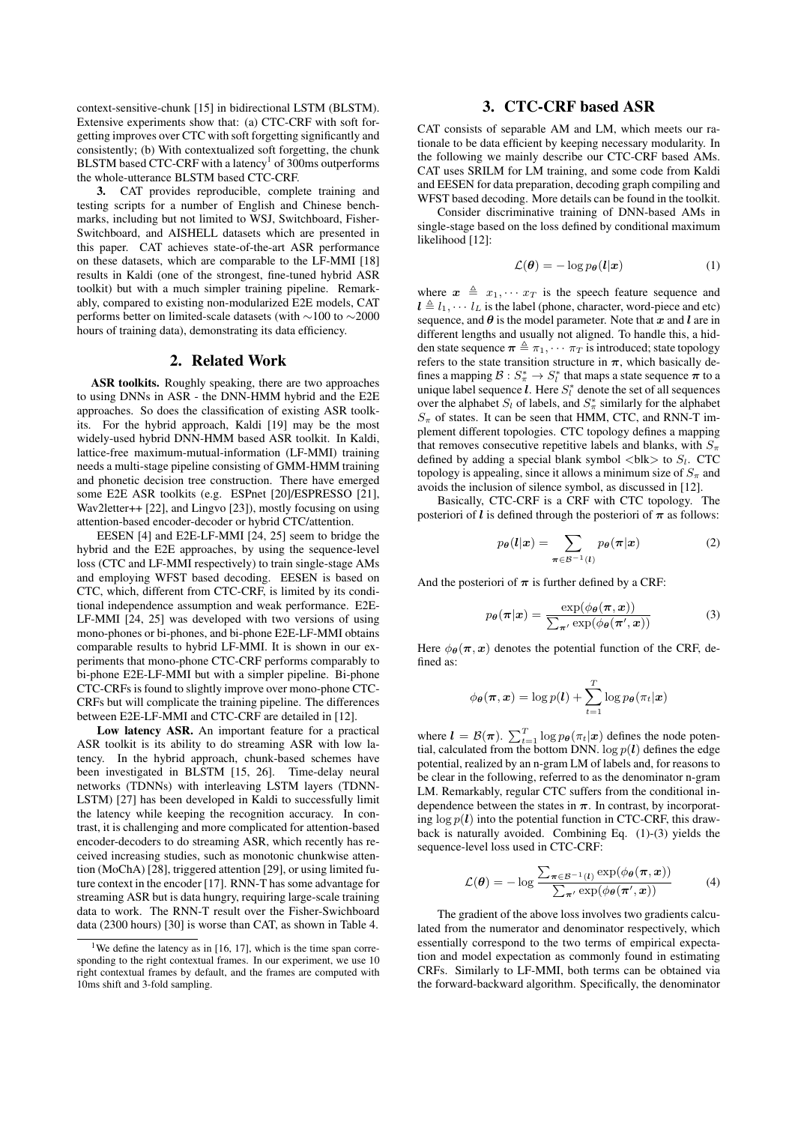context-sensitive-chunk [15] in bidirectional LSTM (BLSTM). Extensive experiments show that: (a) CTC-CRF with soft forgetting improves over CTC with soft forgetting significantly and consistently; (b) With contextualized soft forgetting, the chunk BLSTM based CTC-CRF with a latency $^1$  of 300ms outperforms the whole-utterance BLSTM based CTC-CRF.

3. CAT provides reproducible, complete training and testing scripts for a number of English and Chinese benchmarks, including but not limited to WSJ, Switchboard, Fisher-Switchboard, and AISHELL datasets which are presented in this paper. CAT achieves state-of-the-art ASR performance on these datasets, which are comparable to the LF-MMI [18] results in Kaldi (one of the strongest, fine-tuned hybrid ASR toolkit) but with a much simpler training pipeline. Remarkably, compared to existing non-modularized E2E models, CAT performs better on limited-scale datasets (with ∼100 to ∼2000 hours of training data), demonstrating its data efficiency.

## 2. Related Work

ASR toolkits. Roughly speaking, there are two approaches to using DNNs in ASR - the DNN-HMM hybrid and the E2E approaches. So does the classification of existing ASR toolkits. For the hybrid approach, Kaldi [19] may be the most widely-used hybrid DNN-HMM based ASR toolkit. In Kaldi, lattice-free maximum-mutual-information (LF-MMI) training needs a multi-stage pipeline consisting of GMM-HMM training and phonetic decision tree construction. There have emerged some E2E ASR toolkits (e.g. ESPnet [20]/ESPRESSO [21], Wav2letter++ [22], and Lingvo [23]), mostly focusing on using attention-based encoder-decoder or hybrid CTC/attention.

EESEN [4] and E2E-LF-MMI [24, 25] seem to bridge the hybrid and the E2E approaches, by using the sequence-level loss (CTC and LF-MMI respectively) to train single-stage AMs and employing WFST based decoding. EESEN is based on CTC, which, different from CTC-CRF, is limited by its conditional independence assumption and weak performance. E2E-LF-MMI [24, 25] was developed with two versions of using mono-phones or bi-phones, and bi-phone E2E-LF-MMI obtains comparable results to hybrid LF-MMI. It is shown in our experiments that mono-phone CTC-CRF performs comparably to bi-phone E2E-LF-MMI but with a simpler pipeline. Bi-phone CTC-CRFs is found to slightly improve over mono-phone CTC-CRFs but will complicate the training pipeline. The differences between E2E-LF-MMI and CTC-CRF are detailed in [12].

Low latency ASR. An important feature for a practical ASR toolkit is its ability to do streaming ASR with low latency. In the hybrid approach, chunk-based schemes have been investigated in BLSTM [15, 26]. Time-delay neural networks (TDNNs) with interleaving LSTM layers (TDNN-LSTM) [27] has been developed in Kaldi to successfully limit the latency while keeping the recognition accuracy. In contrast, it is challenging and more complicated for attention-based encoder-decoders to do streaming ASR, which recently has received increasing studies, such as monotonic chunkwise attention (MoChA) [28], triggered attention [29], or using limited future context in the encoder [17]. RNN-T has some advantage for streaming ASR but is data hungry, requiring large-scale training data to work. The RNN-T result over the Fisher-Swichboard data (2300 hours) [30] is worse than CAT, as shown in Table 4.

## 3. CTC-CRF based ASR

CAT consists of separable AM and LM, which meets our rationale to be data efficient by keeping necessary modularity. In the following we mainly describe our CTC-CRF based AMs. CAT uses SRILM for LM training, and some code from Kaldi and EESEN for data preparation, decoding graph compiling and WFST based decoding. More details can be found in the toolkit.

Consider discriminative training of DNN-based AMs in single-stage based on the loss defined by conditional maximum likelihood [12]:

$$
\mathcal{L}(\boldsymbol{\theta}) = -\log p_{\boldsymbol{\theta}}(\boldsymbol{l}|\boldsymbol{x}) \tag{1}
$$

where  $x \triangleq x_1, \cdots x_T$  is the speech feature sequence and  $l \triangleq l_1, \cdots l_L$  is the label (phone, character, word-piece and etc) sequence, and  $\theta$  is the model parameter. Note that x and l are in different lengths and usually not aligned. To handle this, a hidden state sequence  $\pi \triangleq \pi_1, \cdots, \pi_T$  is introduced; state topology refers to the state transition structure in  $\pi$ , which basically defines a mapping  $\mathcal{B}: S^*_\pi \to S^*_l$  that maps a state sequence  $\pi$  to a unique label sequence  $l$ . Here  $S_l^*$  denote the set of all sequences over the alphabet  $S_l$  of labels, and  $S^*_{\pi}$  similarly for the alphabet  $S_{\pi}$  of states. It can be seen that HMM, CTC, and RNN-T implement different topologies. CTC topology defines a mapping that removes consecutive repetitive labels and blanks, with  $S_{\pi}$ defined by adding a special blank symbol  $\langle$ blk $\rangle$  to  $S_l$ . CTC topology is appealing, since it allows a minimum size of  $S_\pi$  and avoids the inclusion of silence symbol, as discussed in [12].

Basically, CTC-CRF is a CRF with CTC topology. The posteriori of  $\ell$  is defined through the posteriori of  $\pi$  as follows:

$$
p_{\theta}(l|\boldsymbol{x}) = \sum_{\boldsymbol{\pi} \in \mathcal{B}^{-1}(l)} p_{\theta}(\boldsymbol{\pi}|\boldsymbol{x}) \tag{2}
$$

And the posteriori of  $\pi$  is further defined by a CRF:

$$
p_{\theta}(\boldsymbol{\pi}|\boldsymbol{x}) = \frac{\exp(\phi_{\theta}(\boldsymbol{\pi}, \boldsymbol{x}))}{\sum_{\boldsymbol{\pi}'} \exp(\phi_{\theta}(\boldsymbol{\pi}', \boldsymbol{x}))}
$$
(3)

Here  $\phi_{\theta}(\pi, x)$  denotes the potential function of the CRF, defined as:

$$
\phi_{\boldsymbol{\theta}}(\boldsymbol{\pi}, \boldsymbol{x}) = \log p(\boldsymbol{l}) + \sum_{t=1}^T \log p_{\boldsymbol{\theta}}(\pi_t|\boldsymbol{x})
$$

where  $\mathbf{l} = \mathcal{B}(\boldsymbol{\pi})$ .  $\sum_{t=1}^{T} \log p_{\boldsymbol{\theta}}(\pi_t|\boldsymbol{x})$  defines the node potential, calculated from the bottom DNN.  $\log p(l)$  defines the edge potential, realized by an n-gram LM of labels and, for reasons to be clear in the following, referred to as the denominator n-gram LM. Remarkably, regular CTC suffers from the conditional independence between the states in  $\pi$ . In contrast, by incorporating  $\log p(l)$  into the potential function in CTC-CRF, this drawback is naturally avoided. Combining Eq. (1)-(3) yields the sequence-level loss used in CTC-CRF:

$$
\mathcal{L}(\boldsymbol{\theta}) = -\log \frac{\sum_{\boldsymbol{\pi} \in \mathcal{B}^{-1}(l)} \exp(\phi_{\boldsymbol{\theta}}(\boldsymbol{\pi}, \boldsymbol{x}))}{\sum_{\boldsymbol{\pi}'} \exp(\phi_{\boldsymbol{\theta}}(\boldsymbol{\pi}', \boldsymbol{x}))}
$$
(4)

The gradient of the above loss involves two gradients calculated from the numerator and denominator respectively, which essentially correspond to the two terms of empirical expectation and model expectation as commonly found in estimating CRFs. Similarly to LF-MMI, both terms can be obtained via the forward-backward algorithm. Specifically, the denominator

<sup>&</sup>lt;sup>1</sup>We define the latency as in [16, 17], which is the time span corresponding to the right contextual frames. In our experiment, we use 10 right contextual frames by default, and the frames are computed with 10ms shift and 3-fold sampling.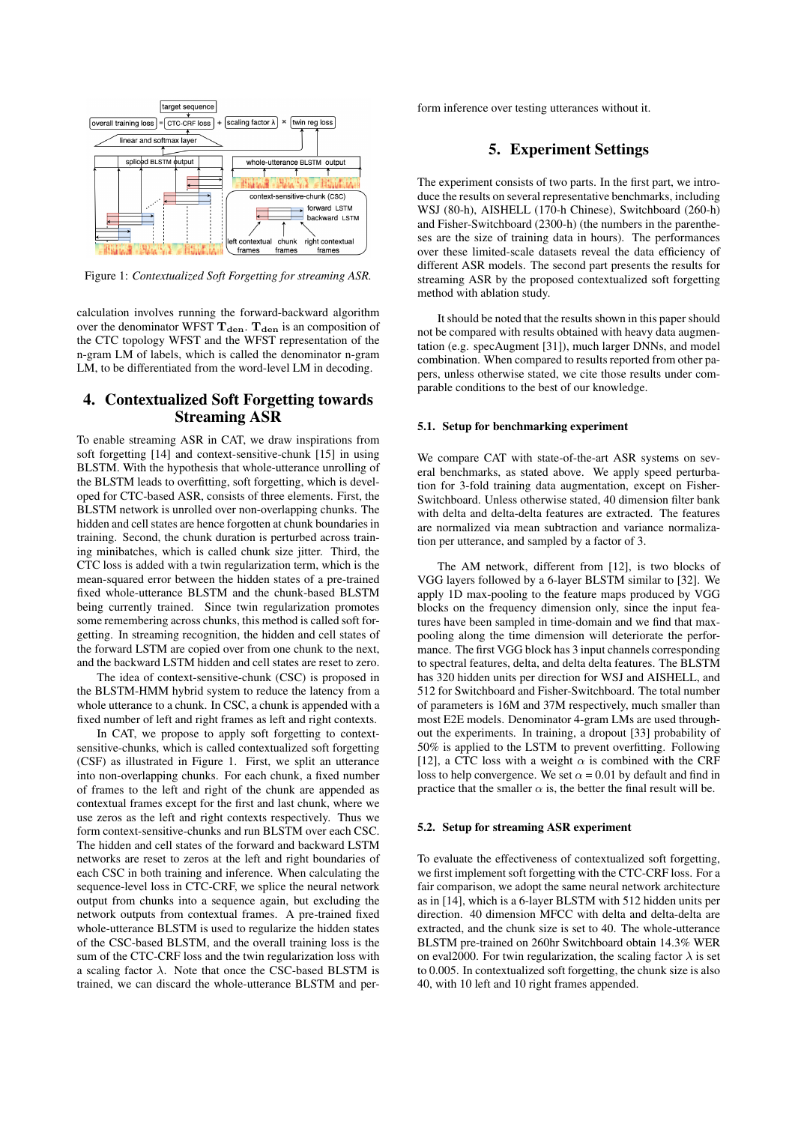

Figure 1: *Contextualized Soft Forgetting for streaming ASR.*

calculation involves running the forward-backward algorithm over the denominator WFST  $T_{den}$ .  $T_{den}$  is an composition of the CTC topology WFST and the WFST representation of the n-gram LM of labels, which is called the denominator n-gram LM, to be differentiated from the word-level LM in decoding.

## 4. Contextualized Soft Forgetting towards Streaming ASR

To enable streaming ASR in CAT, we draw inspirations from soft forgetting [14] and context-sensitive-chunk [15] in using BLSTM. With the hypothesis that whole-utterance unrolling of the BLSTM leads to overfitting, soft forgetting, which is developed for CTC-based ASR, consists of three elements. First, the BLSTM network is unrolled over non-overlapping chunks. The hidden and cell states are hence forgotten at chunk boundaries in training. Second, the chunk duration is perturbed across training minibatches, which is called chunk size jitter. Third, the CTC loss is added with a twin regularization term, which is the mean-squared error between the hidden states of a pre-trained fixed whole-utterance BLSTM and the chunk-based BLSTM being currently trained. Since twin regularization promotes some remembering across chunks, this method is called soft forgetting. In streaming recognition, the hidden and cell states of the forward LSTM are copied over from one chunk to the next, and the backward LSTM hidden and cell states are reset to zero.

The idea of context-sensitive-chunk (CSC) is proposed in the BLSTM-HMM hybrid system to reduce the latency from a whole utterance to a chunk. In CSC, a chunk is appended with a fixed number of left and right frames as left and right contexts.

In CAT, we propose to apply soft forgetting to contextsensitive-chunks, which is called contextualized soft forgetting (CSF) as illustrated in Figure 1. First, we split an utterance into non-overlapping chunks. For each chunk, a fixed number of frames to the left and right of the chunk are appended as contextual frames except for the first and last chunk, where we use zeros as the left and right contexts respectively. Thus we form context-sensitive-chunks and run BLSTM over each CSC. The hidden and cell states of the forward and backward LSTM networks are reset to zeros at the left and right boundaries of each CSC in both training and inference. When calculating the sequence-level loss in CTC-CRF, we splice the neural network output from chunks into a sequence again, but excluding the network outputs from contextual frames. A pre-trained fixed whole-utterance BLSTM is used to regularize the hidden states of the CSC-based BLSTM, and the overall training loss is the sum of the CTC-CRF loss and the twin regularization loss with a scaling factor  $\lambda$ . Note that once the CSC-based BLSTM is trained, we can discard the whole-utterance BLSTM and perform inference over testing utterances without it.

## 5. Experiment Settings

The experiment consists of two parts. In the first part, we introduce the results on several representative benchmarks, including WSJ (80-h), AISHELL (170-h Chinese), Switchboard (260-h) and Fisher-Switchboard (2300-h) (the numbers in the parentheses are the size of training data in hours). The performances over these limited-scale datasets reveal the data efficiency of different ASR models. The second part presents the results for streaming ASR by the proposed contextualized soft forgetting method with ablation study.

It should be noted that the results shown in this paper should not be compared with results obtained with heavy data augmentation (e.g. specAugment [31]), much larger DNNs, and model combination. When compared to results reported from other papers, unless otherwise stated, we cite those results under comparable conditions to the best of our knowledge.

#### 5.1. Setup for benchmarking experiment

We compare CAT with state-of-the-art ASR systems on several benchmarks, as stated above. We apply speed perturbation for 3-fold training data augmentation, except on Fisher-Switchboard. Unless otherwise stated, 40 dimension filter bank with delta and delta-delta features are extracted. The features are normalized via mean subtraction and variance normalization per utterance, and sampled by a factor of 3.

The AM network, different from [12], is two blocks of VGG layers followed by a 6-layer BLSTM similar to [32]. We apply 1D max-pooling to the feature maps produced by VGG blocks on the frequency dimension only, since the input features have been sampled in time-domain and we find that maxpooling along the time dimension will deteriorate the performance. The first VGG block has 3 input channels corresponding to spectral features, delta, and delta delta features. The BLSTM has 320 hidden units per direction for WSJ and AISHELL, and 512 for Switchboard and Fisher-Switchboard. The total number of parameters is 16M and 37M respectively, much smaller than most E2E models. Denominator 4-gram LMs are used throughout the experiments. In training, a dropout [33] probability of 50% is applied to the LSTM to prevent overfitting. Following [12], a CTC loss with a weight  $\alpha$  is combined with the CRF loss to help convergence. We set  $\alpha = 0.01$  by default and find in practice that the smaller  $\alpha$  is, the better the final result will be.

### 5.2. Setup for streaming ASR experiment

To evaluate the effectiveness of contextualized soft forgetting, we first implement soft forgetting with the CTC-CRF loss. For a fair comparison, we adopt the same neural network architecture as in [14], which is a 6-layer BLSTM with 512 hidden units per direction. 40 dimension MFCC with delta and delta-delta are extracted, and the chunk size is set to 40. The whole-utterance BLSTM pre-trained on 260hr Switchboard obtain 14.3% WER on eval2000. For twin regularization, the scaling factor  $\lambda$  is set to 0.005. In contextualized soft forgetting, the chunk size is also 40, with 10 left and 10 right frames appended.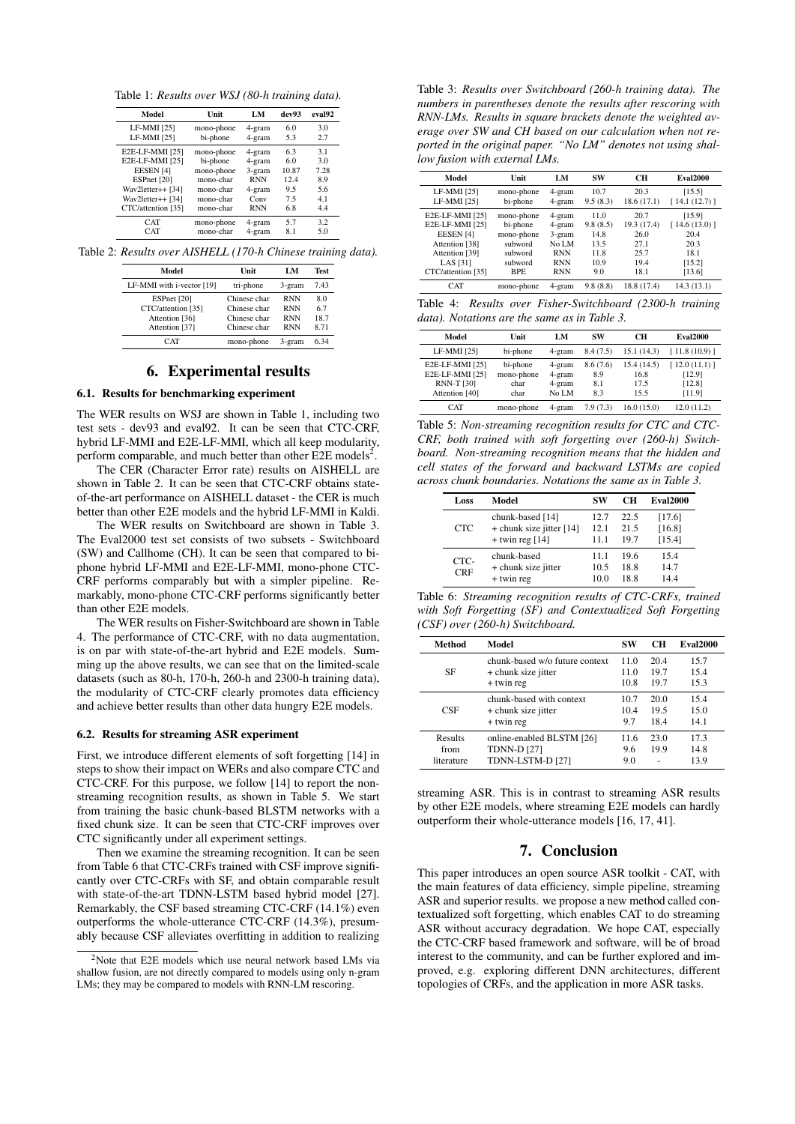Table 1: *Results over WSJ (80-h training data).*

| Model                | Unit       | LM         | dev93 | eval92 |
|----------------------|------------|------------|-------|--------|
| LF-MMI [25]          | mono-phone | 4-gram     | 6.0   | 3.0    |
| LF-MMI [25]          | bi-phone   | 4-gram     | 5.3   | 2.7    |
| E2E-LF-MMI [25]      | mono-phone | 4-gram     | 6.3   | 3.1    |
| E2E-LF-MMI [25]      | bi-phone   | 4-gram     | 6.0   | 3.0    |
| EESEN <sub>[4]</sub> | mono-phone | 3-gram     | 10.87 | 7.28   |
| ESPnet [20]          | mono-char  | <b>RNN</b> | 12.4  | 8.9    |
| Wav2letter++ [34]    | mono-char  | 4-gram     | 9.5   | 5.6    |
| Wav2letter++ [34]    | mono-char  | Conv       | 7.5   | 4.1    |
| CTC/attention [35]   | mono-char  | <b>RNN</b> | 6.8   | 4.4    |
| <b>CAT</b>           | mono-phone | 4-gram     | 5.7   | 3.2    |
| <b>CAT</b>           | mono-char  | 4-gram     | 8.1   | 5.0    |

Table 2: *Results over AISHELL (170-h Chinese training data).*

| Model                     | Unit         | LM         | <b>Test</b> |
|---------------------------|--------------|------------|-------------|
| LF-MMI with i-vector [19] | tri-phone    | 3-gram     | 7.43        |
| ESPnet [20]               | Chinese char | <b>RNN</b> | 8.0         |
| CTC/attention [35]        | Chinese char | <b>RNN</b> | 6.7         |
| Attention [36]            | Chinese char | <b>RNN</b> | 18.7        |
| Attention [37]            | Chinese char | <b>RNN</b> | 8.71        |
| $\Gamma$ AT               | mono-phone   | 3-gram     | 634         |

## 6. Experimental results

#### 6.1. Results for benchmarking experiment

The WER results on WSJ are shown in Table 1, including two test sets - dev93 and eval92. It can be seen that CTC-CRF, hybrid LF-MMI and E2E-LF-MMI, which all keep modularity, perform comparable, and much better than other  $E2E$  models<sup>2</sup>.

The CER (Character Error rate) results on AISHELL are shown in Table 2. It can be seen that CTC-CRF obtains stateof-the-art performance on AISHELL dataset - the CER is much better than other E2E models and the hybrid LF-MMI in Kaldi.

The WER results on Switchboard are shown in Table 3. The Eval2000 test set consists of two subsets - Switchboard (SW) and Callhome (CH). It can be seen that compared to biphone hybrid LF-MMI and E2E-LF-MMI, mono-phone CTC-CRF performs comparably but with a simpler pipeline. Remarkably, mono-phone CTC-CRF performs significantly better than other E2E models.

The WER results on Fisher-Switchboard are shown in Table 4. The performance of CTC-CRF, with no data augmentation, is on par with state-of-the-art hybrid and E2E models. Summing up the above results, we can see that on the limited-scale datasets (such as 80-h, 170-h, 260-h and 2300-h training data), the modularity of CTC-CRF clearly promotes data efficiency and achieve better results than other data hungry E2E models.

#### 6.2. Results for streaming ASR experiment

First, we introduce different elements of soft forgetting [14] in steps to show their impact on WERs and also compare CTC and CTC-CRF. For this purpose, we follow [14] to report the nonstreaming recognition results, as shown in Table 5. We start from training the basic chunk-based BLSTM networks with a fixed chunk size. It can be seen that CTC-CRF improves over CTC significantly under all experiment settings.

Then we examine the streaming recognition. It can be seen from Table 6 that CTC-CRFs trained with CSF improve significantly over CTC-CRFs with SF, and obtain comparable result with state-of-the-art TDNN-LSTM based hybrid model [27]. Remarkably, the CSF based streaming CTC-CRF (14.1%) even outperforms the whole-utterance CTC-CRF (14.3%), presumably because CSF alleviates overfitting in addition to realizing

Table 3: *Results over Switchboard (260-h training data). The numbers in parentheses denote the results after rescoring with RNN-LMs. Results in square brackets denote the weighted average over SW and CH based on our calculation when not reported in the original paper. "No LM" denotes not using shallow fusion with external LMs.*

| Model                      | Unit                   | LM               | SW               | CН                 | <b>Eval2000</b>        |
|----------------------------|------------------------|------------------|------------------|--------------------|------------------------|
| LF-MMI [25]<br>LF-MMI [25] | mono-phone<br>bi-phone | 4-gram<br>4-gram | 10.7<br>9.5(8.3) | 20.3<br>18.6(17.1) | [15.5]<br>[14.1(12.7)] |
| E2E-LF-MMI [25]            | mono-phone             | 4-gram           | 11.0             | 20.7               | [15.9]                 |
| E2E-LF-MMI [25]            | bi-phone               | 4-gram           | 9.8(8.5)         | 19.3 (17.4)        | [14.6(13.0)]           |
| EESEN <sub>[4]</sub>       | mono-phone             | 3-gram           | 14.8             | 26.0               | 20.4                   |
| Attention [38]             | subword                | No LM            | 13.5             | 27.1               | 20.3                   |
| Attention [39]             | subword                | <b>RNN</b>       | 11.8             | 25.7               | 18.1                   |
| LAS [31]                   | subword                | <b>RNN</b>       | 10.9             | 19.4               | [15.2]                 |
| CTC/attention [35]         | <b>BPE</b>             | <b>RNN</b>       | 9.0              | 18.1               | [13.6]                 |
| <b>CAT</b>                 | mono-phone             | 4-gram           | 9.8(8.8)         | 18.8 (17.4)        | 14.3 (13.1)            |

Table 4: *Results over Fisher-Switchboard (2300-h training data). Notations are the same as in Table 3.*

| Model                                                                     | Unit                                   | LM                                  | SW                           | CН                                  | <b>Eval2000</b>                            |
|---------------------------------------------------------------------------|----------------------------------------|-------------------------------------|------------------------------|-------------------------------------|--------------------------------------------|
| LF-MMI [25]                                                               | bi-phone                               | 4-gram                              | 8.4(7.5)                     | 15.1(14.3)                          | [11.8(10.9)]                               |
| E2E-LF-MMI [25]<br>E2E-LF-MMI [25]<br><b>RNN-T [30]</b><br>Attention [40] | bi-phone<br>mono-phone<br>char<br>char | 4-gram<br>4-gram<br>4-gram<br>No LM | 8.6(7.6)<br>8.9<br>8.1<br>83 | 15.4 (14.5)<br>16.8<br>17.5<br>15.5 | [12.0(11.1)]<br>[12.9]<br>[12.8]<br>[11.9] |
| <b>CAT</b>                                                                | mono-phone                             | 4-gram                              | 7.9(7.3)                     | 16.0(15.0)                          | 12.0(11.2)                                 |

Table 5: *Non-streaming recognition results for CTC and CTC-CRF, both trained with soft forgetting over (260-h) Switchboard. Non-streaming recognition means that the hidden and cell states of the forward and backward LSTMs are copied across chunk boundaries. Notations the same as in Table 3.*

| Loss               | Model                                                               | SW                   | CН                   | <b>Eval2000</b>            |
|--------------------|---------------------------------------------------------------------|----------------------|----------------------|----------------------------|
| <b>CTC</b>         | chunk-based [14]<br>+ chunk size jitter $[14]$<br>$+$ twin reg [14] | 12.7<br>12.1<br>11.1 | 22.5<br>21.5<br>19.7 | [17.6]<br>[16.8]<br>[15.4] |
| CTC-<br><b>CRF</b> | chunk-based<br>+ chunk size jitter<br>$+$ twin reg                  | 11.1<br>10.5<br>10.0 | 19.6<br>18.8<br>18.8 | 15.4<br>14.7<br>144        |

Table 6: *Streaming recognition results of CTC-CRFs, trained with Soft Forgetting (SF) and Contextualized Soft Forgetting (CSF) over (260-h) Switchboard.*

| Method                        | Model                                                               | SW                 | CН           | <b>Eval2000</b>      |
|-------------------------------|---------------------------------------------------------------------|--------------------|--------------|----------------------|
| SF                            | chunk-based w/o future context                                      | 11.0               | 20.4         | 15.7                 |
|                               | + chunk size jitter                                                 | 11.0               | 19.7         | 15.4                 |
|                               | $+$ twin reg                                                        | 10.8               | 19.7         | 15.3                 |
| CSE                           | chunk-based with context                                            | 10.7               | 20.0         | 15.4                 |
|                               | + chunk size jitter                                                 | 10.4               | 19.5         | 15.0                 |
|                               | $+$ twin reg                                                        | 9.7                | 184          | 14.1                 |
| Results<br>from<br>literature | online-enabled BLSTM [26]<br><b>TDNN-D [27]</b><br>TDNN-LSTM-D [27] | 11.6<br>9.6<br>9.0 | 23.0<br>19.9 | 17.3<br>14.8<br>13.9 |

streaming ASR. This is in contrast to streaming ASR results by other E2E models, where streaming E2E models can hardly outperform their whole-utterance models [16, 17, 41].

## 7. Conclusion

This paper introduces an open source ASR toolkit - CAT, with the main features of data efficiency, simple pipeline, streaming ASR and superior results. we propose a new method called contextualized soft forgetting, which enables CAT to do streaming ASR without accuracy degradation. We hope CAT, especially the CTC-CRF based framework and software, will be of broad interest to the community, and can be further explored and improved, e.g. exploring different DNN architectures, different topologies of CRFs, and the application in more ASR tasks.

<sup>2</sup>Note that E2E models which use neural network based LMs via shallow fusion, are not directly compared to models using only n-gram LMs; they may be compared to models with RNN-LM rescoring.